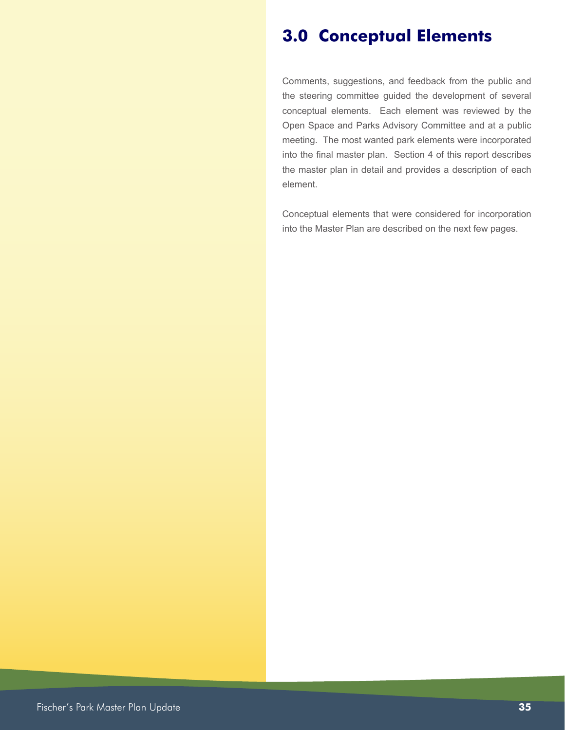## **3.0 Conceptual Elements**

Comments, suggestions, and feedback from the public and the steering committee guided the development of several conceptual elements. Each element was reviewed by the Open Space and Parks Advisory Committee and at a public meeting. The most wanted park elements were incorporated into the final master plan. Section 4 of this report describes the master plan in detail and provides a description of each element.

Conceptual elements that were considered for incorporation into the Master Plan are described on the next few pages.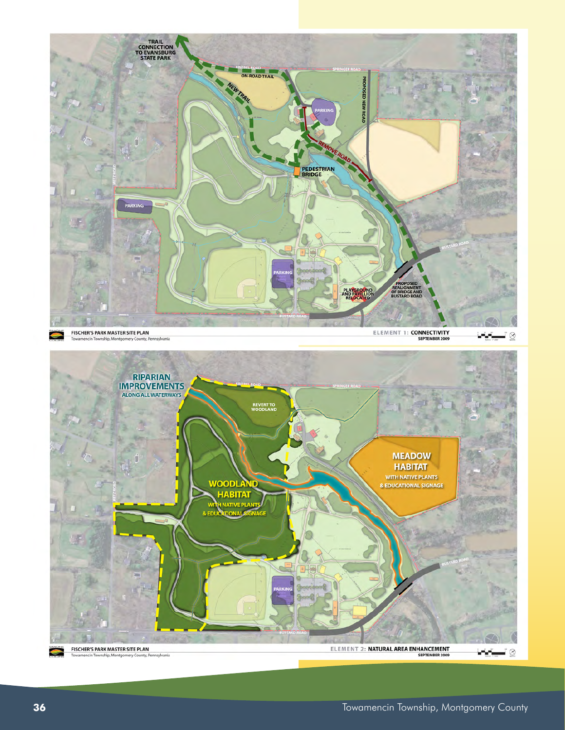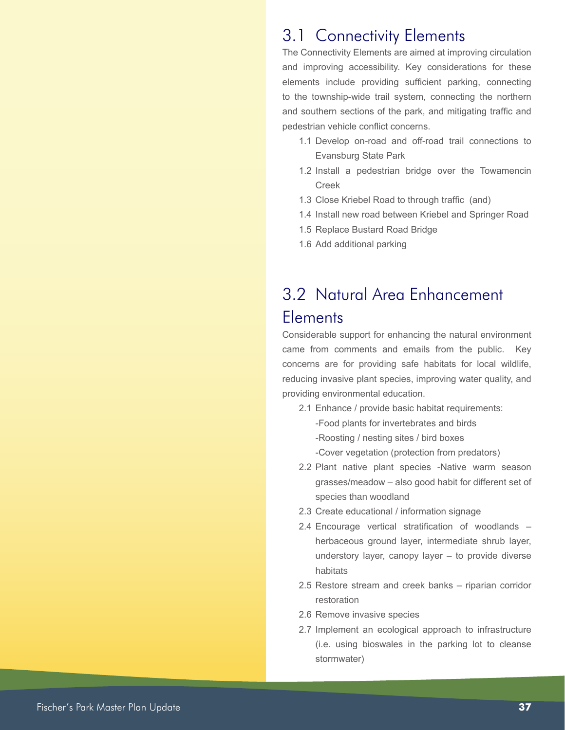#### 3.1 Connectivity Elements

The Connectivity Elements are aimed at improving circulation and improving accessibility. Key considerations for these elements include providing sufficient parking, connecting to the township-wide trail system, connecting the northern and southern sections of the park, and mitigating traffic and pedestrian vehicle conflict concerns.

- 1.1 Develop on-road and off-road trail connections to Evansburg State Park
- 1.2 Install a pedestrian bridge over the Towamencin Creek
- 1.3 Close Kriebel Road to through traffic (and)
- 1.4 Install new road between Kriebel and Springer Road
- 1.5 Replace Bustard Road Bridge
- 1.6 Add additional parking

# 3.2 Natural Area Enhancement **Elements**

Considerable support for enhancing the natural environment came from comments and emails from the public. Key concerns are for providing safe habitats for local wildlife, reducing invasive plant species, improving water quality, and providing environmental education.

- 2.1 Enhance / provide basic habitat requirements: -Food plants for invertebrates and birds -Roosting / nesting sites / bird boxes
	- -Cover vegetation (protection from predators)
- 2.2 Plant native plant species -Native warm season grasses/meadow – also good habit for different set of species than woodland
- 2.3 Create educational / information signage
- 2.4 Encourage vertical stratification of woodlands herbaceous ground layer, intermediate shrub layer, understory layer, canopy layer – to provide diverse habitats
- 2.5 Restore stream and creek banks riparian corridor restoration
- 2.6 Remove invasive species
- 2.7 Implement an ecological approach to infrastructure (i.e. using bioswales in the parking lot to cleanse stormwater)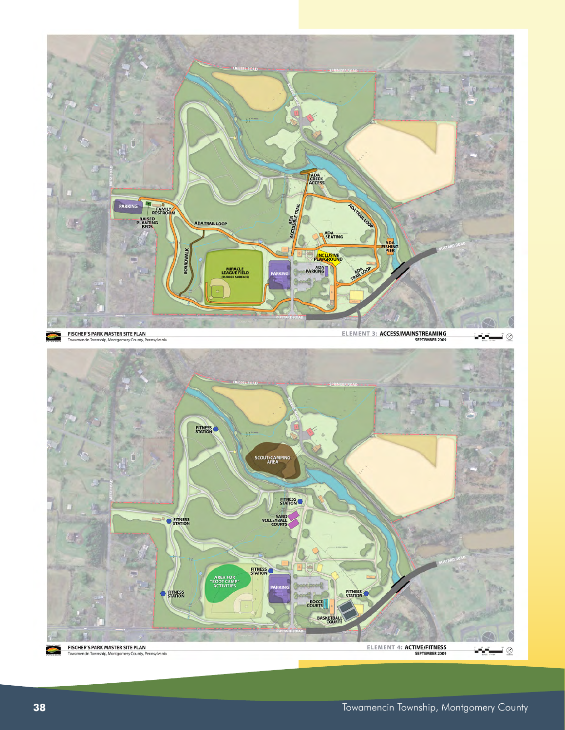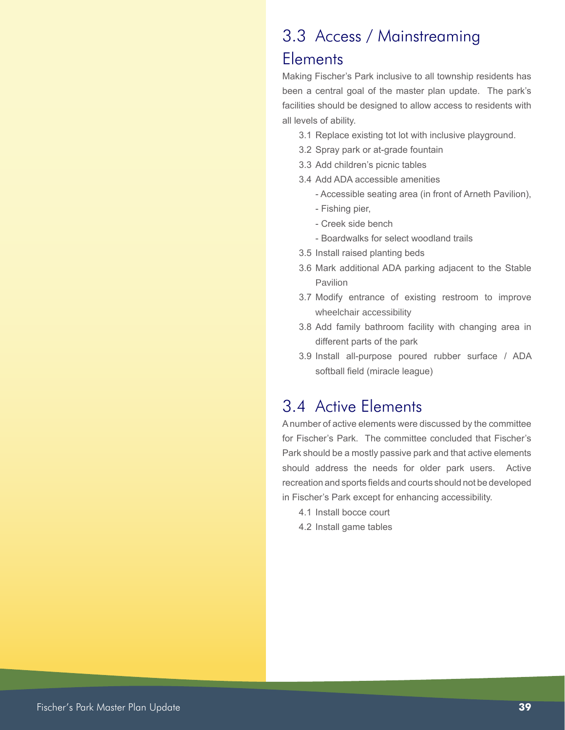### 3.3 Access / Mainstreaming

#### **Elements**

Making Fischer's Park inclusive to all township residents has been a central goal of the master plan update. The park's facilities should be designed to allow access to residents with all levels of ability.

- 3.1 Replace existing tot lot with inclusive playground.
- 3.2 Spray park or at-grade fountain
- 3.3 Add children's picnic tables
- 3.4 Add ADA accessible amenities
	- Accessible seating area (in front of Arneth Pavilion), - Fishing pier,
	- Creek side bench
	- Boardwalks for select woodland trails
- 3.5 Install raised planting beds
- 3.6 Mark additional ADA parking adjacent to the Stable Pavilion
- 3.7 Modify entrance of existing restroom to improve wheelchair accessibility
- 3.8 Add family bathroom facility with changing area in different parts of the park
- 3.9 Install all-purpose poured rubber surface / ADA softball field (miracle league)

#### 3.4 Active Elements

A number of active elements were discussed by the committee for Fischer's Park. The committee concluded that Fischer's Park should be a mostly passive park and that active elements should address the needs for older park users. Active recreation and sports fields and courts should not be developed in Fischer's Park except for enhancing accessibility.

- 4.1 Install bocce court
- 4.2 Install game tables